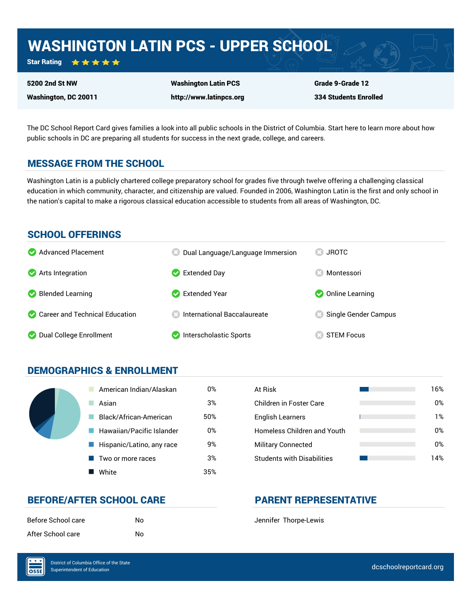## WASHINGTON LATIN PCS - UPPER SCHOOL

Star Rating ★★★★★

Washington, DC 20011

5200 2nd St NW

Washington Latin PCS http://www.latinpcs.org Grade 9-Grade 12 334 Students Enrolled

The DC School Report Card gives families a look into all public schools in the District of Columbia. Start here to learn more about how public schools in DC are preparing all students for success in the next grade, college, and careers.

### MESSAGE FROM THE SCHOOL

Washington Latin is a publicly chartered college preparatory school for grades five through twelve offering a challenging classical education in which community, character, and citizenship are valued. Founded in 2006, Washington Latin is the first and only school in the nation's capital to make a rigorous classical education accessible to students from all areas of Washington, DC.

### SCHOOL OFFERINGS



### DEMOGRAPHICS & ENROLLMENT

| American Indian/Alaskan   | 0%  | At Risk                            |
|---------------------------|-----|------------------------------------|
| Asian                     | 3%  | <b>Children in Foster Care</b>     |
| Black/African-American    | 50% | <b>English Learners</b>            |
| Hawaiian/Pacific Islander | 0%  | <b>Homeless Children and Youth</b> |
| Hispanic/Latino, any race | 9%  | <b>Military Connected</b>          |
| Two or more races         | 3%  | <b>Students with Disabilities</b>  |
| White                     | 35% |                                    |

| At Risk                           | 16% |
|-----------------------------------|-----|
| Children in Foster Care           | 0%  |
| <b>English Learners</b>           | 1%  |
| Homeless Children and Youth       | 0%  |
| <b>Military Connected</b>         | 0%  |
| <b>Students with Disabilities</b> | 14% |

### BEFORE/AFTER SCHOOL CARE **PARENT REPRESENTATIVE**

| Before School care | No |
|--------------------|----|
| After School care  | No |

Jennifer Thorpe-Lewis

 $\overline{\text{OSE}}$